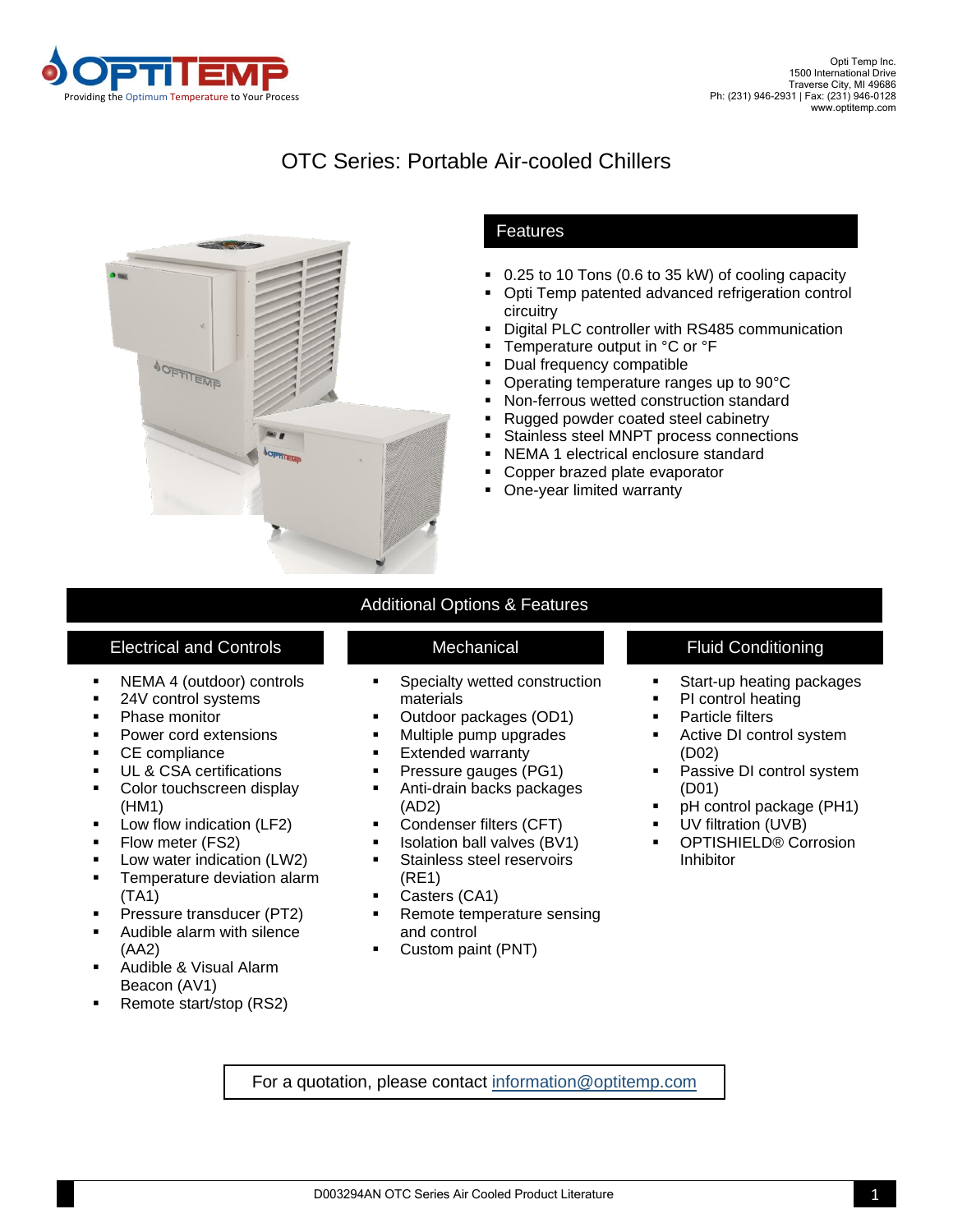

## OTC Series: Portable Air-cooled Chillers



## Features

- 0.25 to 10 Tons (0.6 to 35 kW) of cooling capacity
- Opti Temp patented advanced refrigeration control circuitry
- Digital PLC controller with RS485 communication
- Temperature output in °C or °F
- Dual frequency compatible
- Operating temperature ranges up to 90°C
- Non-ferrous wetted construction standard
- Rugged powder coated steel cabinetry
- Stainless steel MNPT process connections
- NEMA 1 electrical enclosure standard
- Copper brazed plate evaporator
- One-year limited warranty

## Electrical and Controls **Electrical Access 1.1 Conditioning** Mechanical **Fluid Conditioning**

- NEMA 4 (outdoor) controls
- 24V control systems
- Phase monitor
- Power cord extensions
- CE compliance
- UL & CSA certifications
- Color touchscreen display (HM1)
- Low flow indication (LF2)
- **•** Flow meter (FS2)
- Low water indication (LW2)
- **EXEC** Temperature deviation alarm (TA1)
- **•** Pressure transducer (PT2)
- Audible alarm with silence (AA2)
- Audible & Visual Alarm Beacon (AV1)
- Remote start/stop (RS2)

# Additional Options & Features

- Specialty wetted construction materials
- Outdoor packages (OD1)
- Multiple pump upgrades
- **Extended warranty**
- **•** Pressure gauges (PG1)
- Anti-drain backs packages (AD2)
- Condenser filters (CFT)
- Isolation ball valves (BV1)
- **EXECUTE:** Stainless steel reservoirs (RE1)
- Casters (CA1)
- Remote temperature sensing and control
- Custom paint (PNT)

- Start-up heating packages
- PI control heating
- Particle filters
- Active DI control system (D02)
- Passive DI control system (D01)
- pH control package (PH1)
- UV filtration (UVB)
- OPTISHIELD® Corrosion Inhibitor

For a quotation, please contact<information@optitemp.com>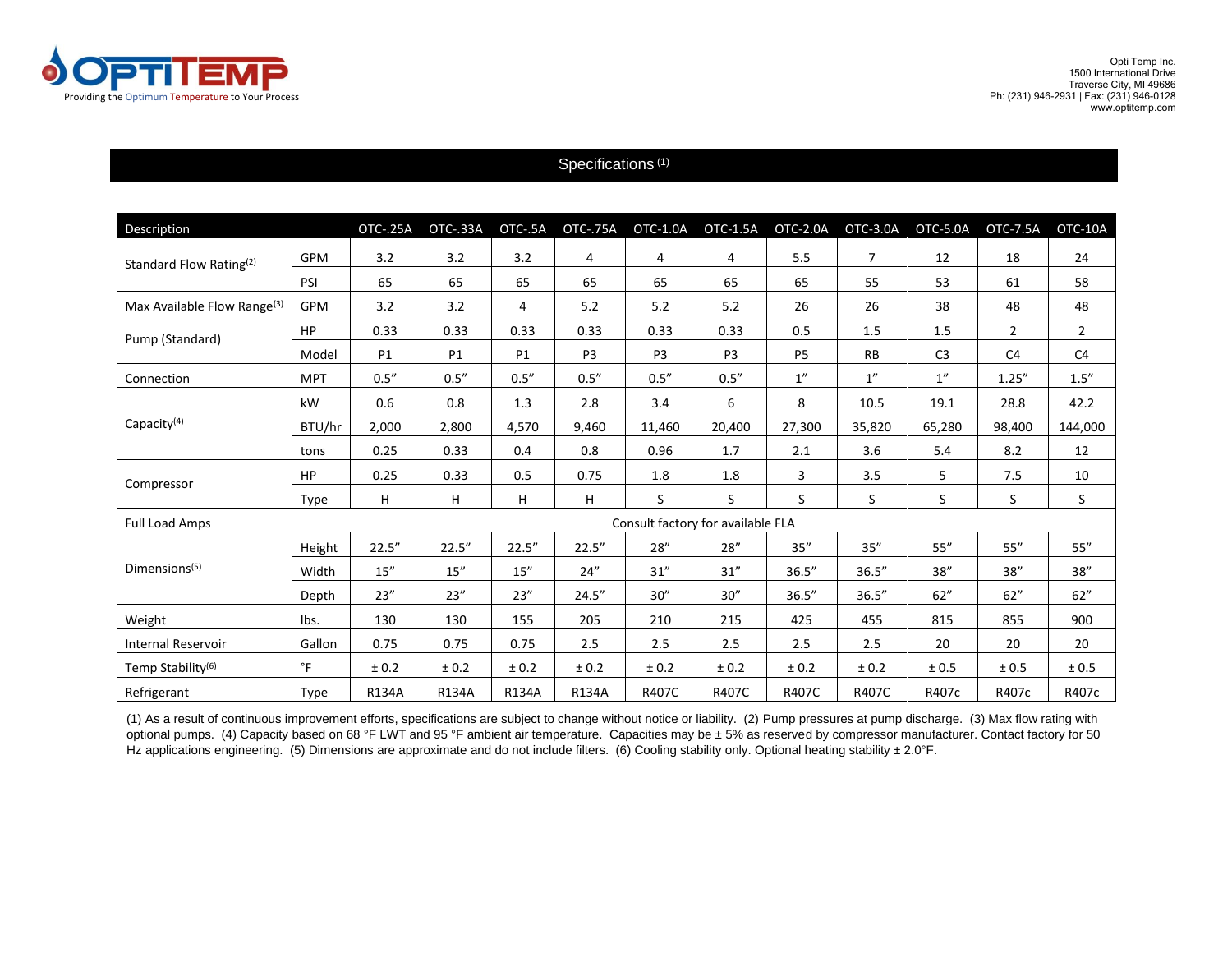

### Specifications<sup>(1)</sup>

| Description                             |                                   | <b>OTC-.25A</b> | OTC-.33A  | OTC-.5A   | <b>OTC-.75A</b> | OTC-1.0A       | OTC-1.5A       | OTC-2.0A       | OTC-3.0A       | OTC-5.0A       | OTC-7.5A       | OTC-10A        |
|-----------------------------------------|-----------------------------------|-----------------|-----------|-----------|-----------------|----------------|----------------|----------------|----------------|----------------|----------------|----------------|
| Standard Flow Rating <sup>(2)</sup>     | <b>GPM</b>                        | 3.2             | 3.2       | 3.2       | 4               | 4              | 4              | 5.5            | $\overline{7}$ | 12             | 18             | 24             |
|                                         | PSI                               | 65              | 65        | 65        | 65              | 65             | 65             | 65             | 55             | 53             | 61             | 58             |
| Max Available Flow Range <sup>(3)</sup> | <b>GPM</b>                        | 3.2             | 3.2       | 4         | 5.2             | 5.2            | 5.2            | 26             | 26             | 38             | 48             | 48             |
| Pump (Standard)                         | HP                                | 0.33            | 0.33      | 0.33      | 0.33            | 0.33           | 0.33           | 0.5            | 1.5            | 1.5            | $\overline{2}$ | $\overline{2}$ |
|                                         | Model                             | P1              | P1        | <b>P1</b> | P <sub>3</sub>  | P <sub>3</sub> | P <sub>3</sub> | P <sub>5</sub> | <b>RB</b>      | C <sub>3</sub> | C <sub>4</sub> | C <sub>4</sub> |
| Connection                              | <b>MPT</b>                        | 0.5''           | 0.5''     | 0.5''     | 0.5''           | 0.5''          | 0.5''          | 1''            | 1''            | 1''            | 1.25''         | 1.5''          |
| Capacity <sup>(4)</sup>                 | kW                                | 0.6             | 0.8       | 1.3       | 2.8             | 3.4            | 6              | 8              | 10.5           | 19.1           | 28.8           | 42.2           |
|                                         | BTU/hr                            | 2,000           | 2,800     | 4,570     | 9,460           | 11,460         | 20,400         | 27,300         | 35,820         | 65,280         | 98,400         | 144,000        |
|                                         | tons                              | 0.25            | 0.33      | 0.4       | 0.8             | 0.96           | 1.7            | 2.1            | 3.6            | 5.4            | 8.2            | 12             |
| Compressor                              | HP                                | 0.25            | 0.33      | 0.5       | 0.75            | 1.8            | 1.8            | 3              | 3.5            | 5              | 7.5            | 10             |
|                                         | Type                              | H               | н         | H         | H               | S              | S              | S              | S              | S.             | S              | S              |
| <b>Full Load Amps</b>                   | Consult factory for available FLA |                 |           |           |                 |                |                |                |                |                |                |                |
| Dimensions <sup>(5)</sup>               | Height                            | 22.5''          | 22.5''    | 22.5''    | 22.5''          | 28''           | 28''           | 35''           | 35"            | 55''           | 55''           | 55"            |
|                                         | Width                             | 15''            | 15''      | 15''      | 24''            | 31''           | 31''           | 36.5''         | 36.5''         | 38''           | 38''           | 38''           |
|                                         | Depth                             | 23''            | 23''      | 23''      | 24.5''          | 30''           | 30''           | 36.5''         | 36.5''         | 62"            | 62"            | 62"            |
| Weight                                  | lbs.                              | 130             | 130       | 155       | 205             | 210            | 215            | 425            | 455            | 815            | 855            | 900            |
| <b>Internal Reservoir</b>               | Gallon                            | 0.75            | 0.75      | 0.75      | 2.5             | 2.5            | 2.5            | 2.5            | 2.5            | 20             | 20             | 20             |
| Temp Stability <sup>(6)</sup>           | $\degree$ F                       | ± 0.2           | $\pm$ 0.2 | ± 0.2     | ± 0.2           | ± 0.2          | ± 0.2          | ± 0.2          | ± 0.2          | ± 0.5          | ± 0.5          | ± 0.5          |
| Refrigerant                             | Type                              | R134A           | R134A     | R134A     | R134A           | R407C          | R407C          | R407C          | R407C          | R407c          | R407c          | R407c          |

(1) As a result of continuous improvement efforts, specifications are subject to change without notice or liability. (2) Pump pressures at pump discharge. (3) Max flow rating with optional pumps. (4) Capacity based on 68 °F LWT and 95 °F ambient air temperature. Capacities may be ± 5% as reserved by compressor manufacturer. Contact factory for 50 Hz applications engineering. (5) Dimensions are approximate and do not include filters. (6) Cooling stability only. Optional heating stability ± 2.0°F.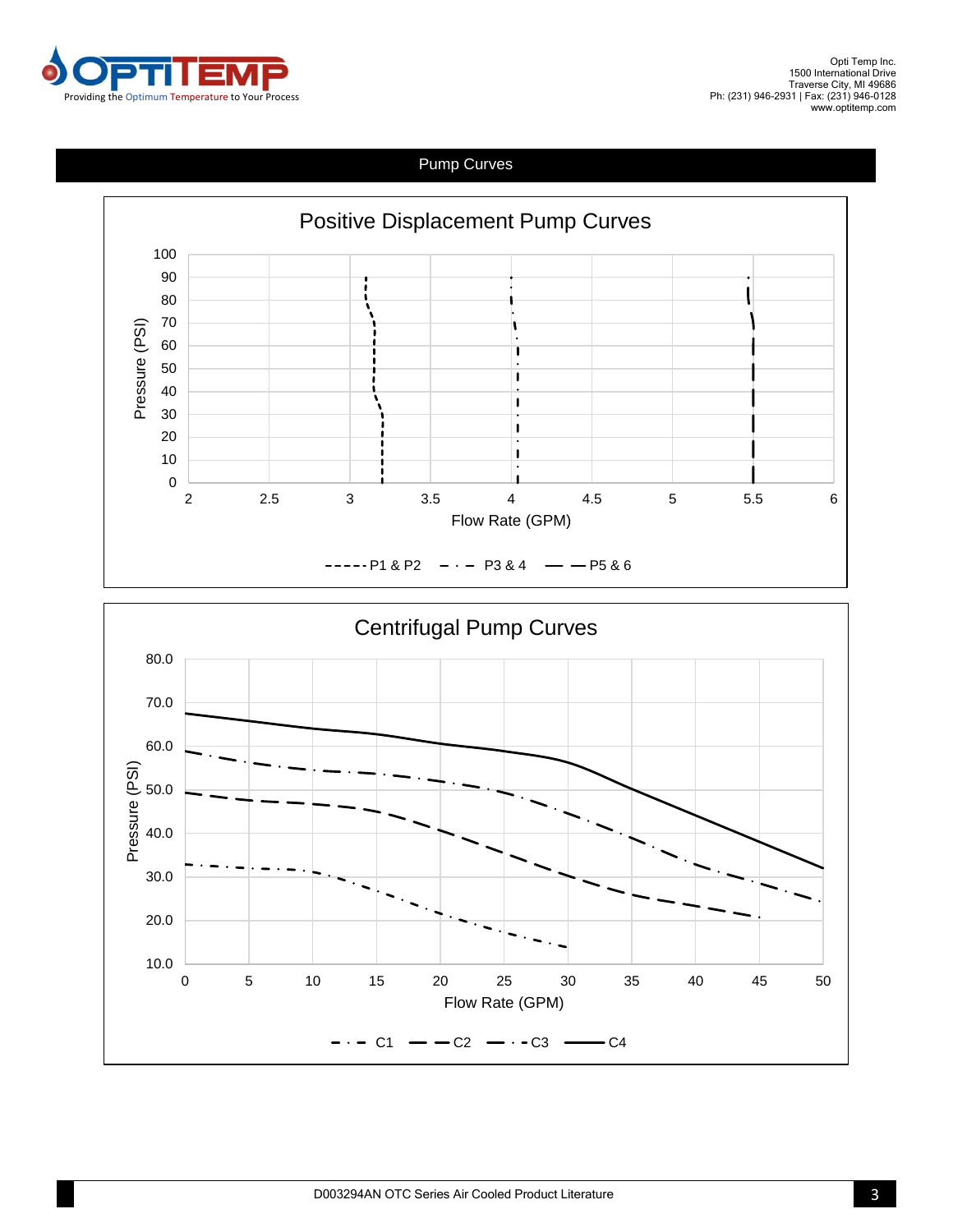

## Pump Curves